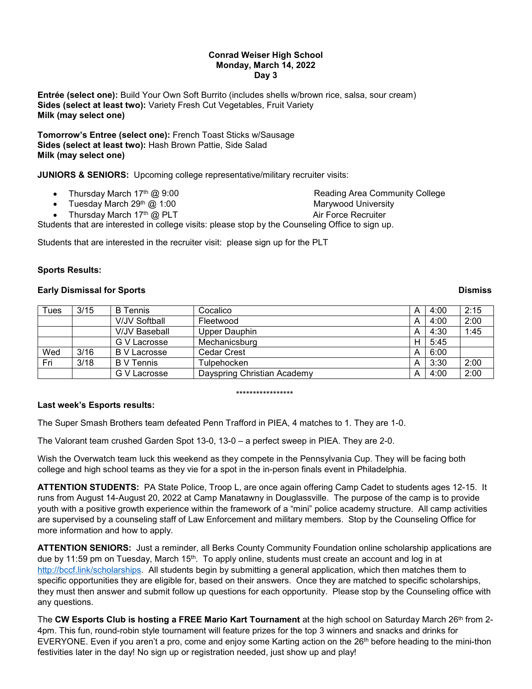#### **Conrad Weiser High School Monday, March 14, 2022 Day 3**

**Entrée (select one):** Build Your Own Soft Burrito (includes shells w/brown rice, salsa, sour cream) **Sides (select at least two):** Variety Fresh Cut Vegetables, Fruit Variety **Milk (may select one)**

**Tomorrow's Entree (select one):** French Toast Sticks w/Sausage **Sides (select at least two):** Hash Brown Pattie, Side Salad **Milk (may select one)**

**JUNIORS & SENIORS:** Upcoming college representative/military recruiter visits:

|  |  | Thursday March 17th @ 9:00 |  |  |  |  |
|--|--|----------------------------|--|--|--|--|
|--|--|----------------------------|--|--|--|--|

Tuesday March 29<sup>th</sup> @ 1:00 March 20th Marywood University

Reading Area Community College

Thursday March 17<sup>th</sup> @ PLT Air Force Recruiter

Students that are interested in college visits: please stop by the Counseling Office to sign up.

Students that are interested in the recruiter visit: please sign up for the PLT

## **Sports Results:**

## **Early Dismissal for Sports Dismiss**

| Tues | 3/15 | <b>B</b> Tennis      | Cocalico                    | A | 4:00 | 2:15 |
|------|------|----------------------|-----------------------------|---|------|------|
|      |      | V/JV Softball        | Fleetwood                   | А | 4:00 | 2:00 |
|      |      | <b>V/JV Baseball</b> | Upper Dauphin               | A | 4:30 | 1:45 |
|      |      | G V Lacrosse         | Mechanicsburg               | н | 5:45 |      |
| Wed  | 3/16 | B V Lacrosse         | Cedar Crest                 | А | 6:00 |      |
| Fri  | 3/18 | <b>B</b> V Tennis    | Tulpehocken                 | A | 3:30 | 2:00 |
|      |      | G V Lacrosse         | Dayspring Christian Academy | А | 4:00 | 2:00 |

\*\*\*\*\*\*\*\*\*\*\*\*\*\*\*\*\*

# **Last week's Esports results:**

The Super Smash Brothers team defeated Penn Trafford in PIEA, 4 matches to 1. They are 1-0.

The Valorant team crushed Garden Spot 13-0, 13-0 – a perfect sweep in PIEA. They are 2-0.

Wish the Overwatch team luck this weekend as they compete in the Pennsylvania Cup. They will be facing both college and high school teams as they vie for a spot in the in-person finals event in Philadelphia.

**ATTENTION STUDENTS:** PA State Police, Troop L, are once again offering Camp Cadet to students ages 12-15. It runs from August 14-August 20, 2022 at Camp Manatawny in Douglassville. The purpose of the camp is to provide youth with a positive growth experience within the framework of a "mini" police academy structure. All camp activities are supervised by a counseling staff of Law Enforcement and military members. Stop by the Counseling Office for more information and how to apply.

**ATTENTION SENIORS:** Just a reminder, all Berks County Community Foundation online scholarship applications are due by 11:59 pm on Tuesday, March 15<sup>th</sup>. To apply online, students must create an account and log in at [http://bccf.link/scholarships.](http://bccf.link/scholarships) All students begin by submitting a general application, which then matches them to specific opportunities they are eligible for, based on their answers. Once they are matched to specific scholarships, they must then answer and submit follow up questions for each opportunity. Please stop by the Counseling office with any questions.

The **CW Esports Club is hosting a FREE Mario Kart Tournament** at the high school on Saturday March 26th from 2- 4pm. This fun, round-robin style tournament will feature prizes for the top 3 winners and snacks and drinks for EVERYONE. Even if you aren't a pro, come and enjoy some Karting action on the 26<sup>th</sup> before heading to the mini-thon festivities later in the day! No sign up or registration needed, just show up and play!